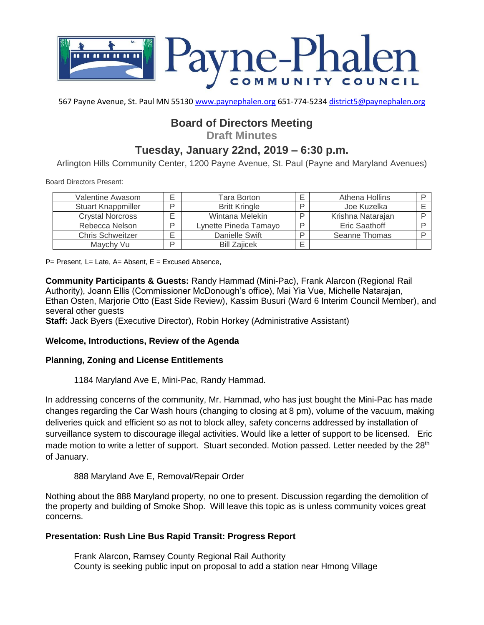

567 Payne Avenue, St. Paul MN 55130 [www.paynephalen.org](http://www.paynephalen.org/) 651-774-5234 [district5@paynephalen.org](mailto:district5@paynephalen.org)

# **Board of Directors Meeting**

**Draft Minutes**

# **Tuesday, January 22nd, 2019 – 6:30 p.m.**

Arlington Hills Community Center, 1200 Payne Avenue, St. Paul (Payne and Maryland Avenues)

Board Directors Present:

| Valentine Awasom          | ⊏ | Tara Borton           | Athena Hollins    |  |
|---------------------------|---|-----------------------|-------------------|--|
| <b>Stuart Knappmiller</b> | ח | <b>Britt Kringle</b>  | Joe Kuzelka       |  |
| <b>Crystal Norcross</b>   |   | Wintana Melekin       | Krishna Natarajan |  |
| Rebecca Nelson            | D | Lynette Pineda Tamayo | Eric Saathoff     |  |
| <b>Chris Schweitzer</b>   | ⊏ | Danielle Swift        | Seanne Thomas     |  |
| Maychy Vu                 | D | <b>Bill Zaiicek</b>   |                   |  |

 $P=$  Present, L= Late, A= Absent, E = Excused Absence,

**Community Participants & Guests:** Randy Hammad (Mini-Pac), Frank Alarcon (Regional Rail Authority), Joann Ellis (Commissioner McDonough's office), Mai Yia Vue, Michelle Natarajan, Ethan Osten, Marjorie Otto (East Side Review), Kassim Busuri (Ward 6 Interim Council Member), and several other guests

**Staff:** Jack Byers (Executive Director), Robin Horkey (Administrative Assistant)

#### **Welcome, Introductions, Review of the Agenda**

#### **Planning, Zoning and License Entitlements**

1184 Maryland Ave E, Mini-Pac, Randy Hammad.

In addressing concerns of the community, Mr. Hammad, who has just bought the Mini-Pac has made changes regarding the Car Wash hours (changing to closing at 8 pm), volume of the vacuum, making deliveries quick and efficient so as not to block alley, safety concerns addressed by installation of surveillance system to discourage illegal activities. Would like a letter of support to be licensed. Eric made motion to write a letter of support. Stuart seconded. Motion passed. Letter needed by the 28<sup>th</sup> of January.

#### 888 Maryland Ave E, Removal/Repair Order

Nothing about the 888 Maryland property, no one to present. Discussion regarding the demolition of the property and building of Smoke Shop. Will leave this topic as is unless community voices great concerns.

#### **Presentation: Rush Line Bus Rapid Transit: Progress Report**

Frank Alarcon, Ramsey County Regional Rail Authority County is seeking public input on proposal to add a station near Hmong Village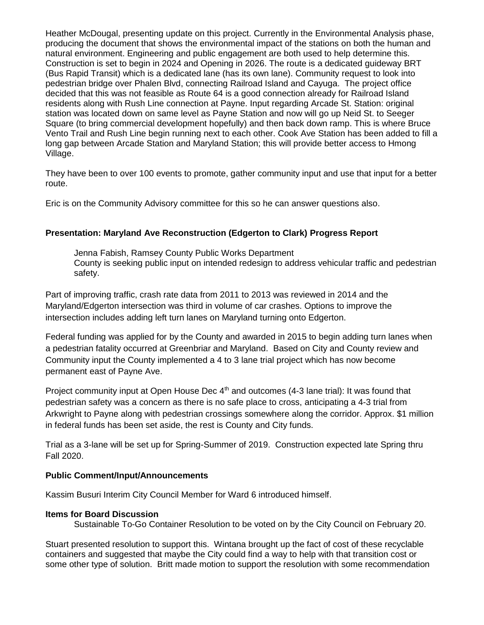Heather McDougal, presenting update on this project. Currently in the Environmental Analysis phase, producing the document that shows the environmental impact of the stations on both the human and natural environment. Engineering and public engagement are both used to help determine this. Construction is set to begin in 2024 and Opening in 2026. The route is a dedicated guideway BRT (Bus Rapid Transit) which is a dedicated lane (has its own lane). Community request to look into pedestrian bridge over Phalen Blvd, connecting Railroad Island and Cayuga. The project office decided that this was not feasible as Route 64 is a good connection already for Railroad Island residents along with Rush Line connection at Payne. Input regarding Arcade St. Station: original station was located down on same level as Payne Station and now will go up Neid St. to Seeger Square (to bring commercial development hopefully) and then back down ramp. This is where Bruce Vento Trail and Rush Line begin running next to each other. Cook Ave Station has been added to fill a long gap between Arcade Station and Maryland Station; this will provide better access to Hmong Village.

They have been to over 100 events to promote, gather community input and use that input for a better route.

Eric is on the Community Advisory committee for this so he can answer questions also.

### **Presentation: Maryland Ave Reconstruction (Edgerton to Clark) Progress Report**

Jenna Fabish, Ramsey County Public Works Department County is seeking public input on intended redesign to address vehicular traffic and pedestrian safety.

Part of improving traffic, crash rate data from 2011 to 2013 was reviewed in 2014 and the Maryland/Edgerton intersection was third in volume of car crashes. Options to improve the intersection includes adding left turn lanes on Maryland turning onto Edgerton.

Federal funding was applied for by the County and awarded in 2015 to begin adding turn lanes when a pedestrian fatality occurred at Greenbriar and Maryland. Based on City and County review and Community input the County implemented a 4 to 3 lane trial project which has now become permanent east of Payne Ave.

Project community input at Open House Dec 4<sup>th</sup> and outcomes (4-3 lane trial): It was found that pedestrian safety was a concern as there is no safe place to cross, anticipating a 4-3 trial from Arkwright to Payne along with pedestrian crossings somewhere along the corridor. Approx. \$1 million in federal funds has been set aside, the rest is County and City funds.

Trial as a 3-lane will be set up for Spring-Summer of 2019. Construction expected late Spring thru Fall 2020.

### **Public Comment/Input/Announcements**

Kassim Busuri Interim City Council Member for Ward 6 introduced himself.

#### **Items for Board Discussion**

Sustainable To-Go Container Resolution to be voted on by the City Council on February 20.

Stuart presented resolution to support this. Wintana brought up the fact of cost of these recyclable containers and suggested that maybe the City could find a way to help with that transition cost or some other type of solution. Britt made motion to support the resolution with some recommendation